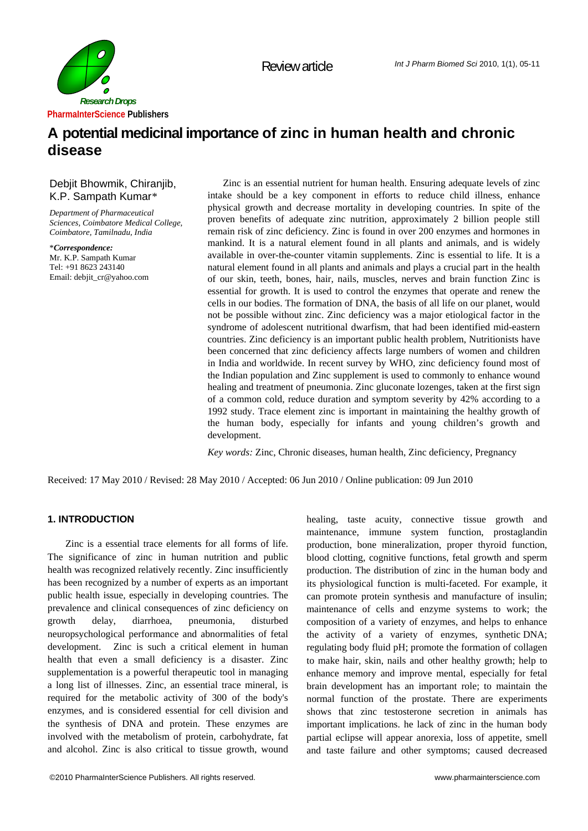

# **A potential medicinal importance of zinc in human health and chronic disease**

## Debjit Bhowmik, Chiranjib, K.P. Sampath Kumar*\**

*Department of Pharmaceutical Sciences, Coimbatore Medical College, Coimbatore, Tamilnadu, India* 

\**Correspondence:* Mr. K.P. Sampath Kumar Tel: +91 8623 243140 Email: debjit\_cr@yahoo.com

Zinc is an essential nutrient for human health. Ensuring adequate levels of zinc intake should be a key component in efforts to reduce child illness, enhance physical growth and decrease mortality in developing countries. In spite of the proven benefits of adequate zinc nutrition, approximately 2 billion people still remain risk of zinc deficiency*.* Zinc is found in over 200 enzymes and hormones in mankind. It is a natural element found in all plants and animals, and is widely available in over-the-counter vitamin supplements. Zinc is essential to life. It is a natural element found in all plants and animals and plays a crucial part in the health of our skin, teeth, bones, hair, nails, muscles, nerves and brain function Zinc is essential for growth. It is used to control the enzymes that operate and renew the cells in our bodies. The formation of DNA, the basis of all life on our planet, would not be possible without zinc. Zinc deficiency was a major etiological factor in the syndrome of adolescent nutritional dwarfism, that had been identified mid-eastern countries. Zinc deficiency is an important public health problem, Nutritionists have been concerned that zinc deficiency affects large numbers of women and children in India and worldwide. In recent survey by WHO, zinc deficiency found most of the Indian population and Zinc supplement is used to commonly to enhance wound healing and treatment of pneumonia. Zinc gluconate lozenges, taken at the first sign of a common cold, reduce duration and symptom severity by 42% according to a 1992 study. Trace element zinc is important in maintaining the healthy growth of the human body, especially for infants and young children's growth and development.

*Key words:* Zinc, Chronic diseases, human health, Zinc deficiency, Pregnancy

Received: 17 May 2010 / Revised: 28 May 2010 / Accepted: 06 Jun 2010 / Online publication: 09 Jun 2010

## **1. INTRODUCTION**

Zinc is a essential trace elements for all forms of life. The significance of zinc in human nutrition and public health was recognized relatively recently. Zinc insufficiently has been recognized by a number of experts as an important public health issue, especially in developing countries. The prevalence and clinical consequences of zinc deficiency on growth delay, diarrhoea, pneumonia, disturbed neuropsychological performance and abnormalities of fetal development. Zinc is such a critical element in human health that even a small deficiency is a disaster. Zinc supplementation is a powerful therapeutic tool in managing a long list of illnesses. Zinc, an essential trace mineral, is required for the metabolic activity of 300 of the body's enzymes, and is considered essential for cell division and the synthesis of DNA and protein. These enzymes are involved with the metabolism of protein, carbohydrate, fat and alcohol. Zinc is also critical to tissue growth, wound healing, taste acuity, connective tissue growth and maintenance, immune system function, prostaglandin production, bone mineralization, proper thyroid function, blood clotting, cognitive functions, fetal growth and sperm production. The distribution of zinc in the human body and its physiological function is multi-faceted. For example, it can promote protein synthesis and manufacture of insulin; maintenance of cells and enzyme systems to work; the composition of a variety of enzymes, and helps to enhance the activity of a variety of enzymes, synthetic DNA; regulating body fluid pH; promote the formation of collagen to make hair, skin, nails and other healthy growth; help to enhance memory and improve mental, especially for fetal brain development has an important role; to maintain the normal function of the prostate. There are experiments shows that zinc testosterone secretion in animals has important implications. he lack of zinc in the human body partial eclipse will appear anorexia, loss of appetite, smell and taste failure and other symptoms; caused decreased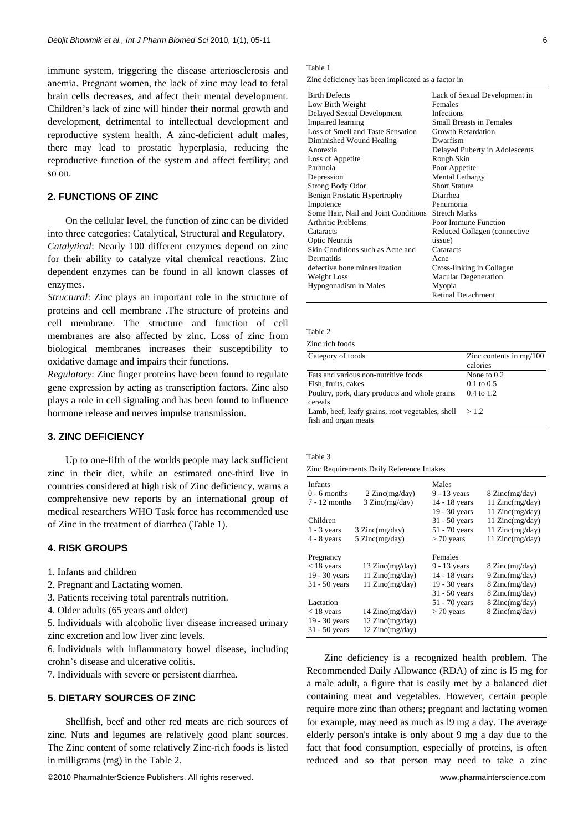immune system, triggering the disease arteriosclerosis and anemia. Pregnant women, the lack of zinc may lead to fetal brain cells decreases, and affect their mental development. Children's lack of zinc will hinder their normal growth and development, detrimental to intellectual development and reproductive system health. A zinc-deficient adult males, there may lead to prostatic hyperplasia, reducing the reproductive function of the system and affect fertility; and so on.

## **2. FUNCTIONS OF ZINC**

On the cellular level, the function of zinc can be divided into three categories: Catalytical, Structural and Regulatory. *Catalytical*: Nearly 100 different enzymes depend on zinc for their ability to catalyze vital chemical reactions. Zinc dependent enzymes can be found in all known classes of enzymes.

*Structural*: Zinc plays an important role in the structure of proteins and cell membrane .The structure of proteins and cell membrane. The structure and function of cell membranes are also affected by zinc. Loss of zinc from biological membranes increases their susceptibility to oxidative damage and impairs their functions.

*Regulatory*: Zinc finger proteins have been found to regulate gene expression by acting as transcription factors. Zinc also plays a role in cell signaling and has been found to influence hormone release and nerves impulse transmission.

## **3. ZINC DEFICIENCY**

Up to one-fifth of the worlds people may lack sufficient zinc in their diet, while an estimated one-third live in countries considered at high risk of Zinc deficiency, warns a comprehensive new reports by an international group of medical researchers WHO Task force has recommended use of Zinc in the treatment of diarrhea (Table 1).

## **4. RISK GROUPS**

- 1. Infants and children
- 2. Pregnant and Lactating women.
- 3. Patients receiving total parentrals nutrition.
- 4. Older adults (65 years and older)

5. Individuals with alcoholic liver disease increased urinary zinc excretion and low liver zinc levels.

6. Individuals with inflammatory bowel disease, including crohn's disease and ulcerative colitis.

7. Individuals with severe or persistent diarrhea.

## **5. DIETARY SOURCES OF ZINC**

Shellfish, beef and other red meats are rich sources of zinc. Nuts and legumes are relatively good plant sources. The Zinc content of some relatively Zinc-rich foods is listed in milligrams (mg) in the Table 2.

©2010 PharmaInterScience Publishers. All rights reserved. www.pharmainterscience.com

# Table 1

Zinc deficiency has been implicated as a factor in

| <b>Birth Defects</b>                 | Lack of Sexual Development in   |
|--------------------------------------|---------------------------------|
| Low Birth Weight                     | Females                         |
| Delayed Sexual Development           | Infections                      |
| <b>Impaired</b> learning             | <b>Small Breasts in Females</b> |
| Loss of Smell and Taste Sensation    | Growth Retardation              |
| Diminished Wound Healing             | Dwarfism                        |
| Anorexia                             | Delayed Puberty in Adolescents  |
| Loss of Appetite                     | Rough Skin                      |
| Paranoia                             | Poor Appetite                   |
| Depression                           | <b>Mental Lethargy</b>          |
| <b>Strong Body Odor</b>              | <b>Short Stature</b>            |
| Benign Prostatic Hypertrophy         | Diarrhea                        |
| Impotence                            | Penumonia                       |
| Some Hair, Nail and Joint Conditions | <b>Stretch Marks</b>            |
| <b>Arthritic Problems</b>            | Poor Immune Function            |
| Cataracts                            | Reduced Collagen (connective    |
| <b>Optic Neuritis</b>                | tissue)                         |
| Skin Conditions such as Acne and     | Cataracts                       |
| Dermatitis                           | Acne                            |
| defective bone mineralization        | Cross-linking in Collagen       |
| Weight Loss                          | <b>Macular Degeneration</b>     |
| Hypogonadism in Males                | Myopia                          |
|                                      | <b>Retinal Detachment</b>       |

Table 2

|  | Zinc rich foods |
|--|-----------------|
|  |                 |

| Category of foods                                | Zinc contents in $mg/100$<br>calories |
|--------------------------------------------------|---------------------------------------|
| Fats and various non-nutritive foods             | None to $0.2$                         |
| Fish, fruits, cakes                              | $0.1 \text{ to } 0.5$                 |
| Poultry, pork, diary products and whole grains   | $0.4 \text{ to } 1.2$                 |
| cereals                                          |                                       |
| Lamb, beef, leafy grains, root vegetables, shell | >1.2                                  |
| fish and organ meats                             |                                       |

| Table 3                                   |  |
|-------------------------------------------|--|
| Zinc Requirements Daily Reference Intakes |  |

| Infants         |                           | Males           |                          |  |
|-----------------|---------------------------|-----------------|--------------------------|--|
| $0 - 6$ months  | $2 \text{ Zinc}(mg/day)$  | 9 - 13 years    | 8 Zinc(mg/day)           |  |
| $7 - 12$ months | 3 Zinc(mg/day)            | 14 - 18 years   | 11 $Zinc(mg/day)$        |  |
|                 |                           | 19 - 30 years   | 11 $Zinc(mg/day)$        |  |
| Children        |                           | $31 - 50$ years | 11 $Zinc(mg/day)$        |  |
| $1 - 3$ years   | $3 \text{ Zinc}(mg/day)$  | 51 - 70 years   | 11 $Zinc(mg/day)$        |  |
| $4 - 8$ years   | $5 \text{ Zinc}(mg/day)$  | $> 70$ years    | 11 $Zinc(mg/day)$        |  |
| Pregnancy       |                           | Females         |                          |  |
| $<$ 18 years    | $13 \text{ Zinc}(mg/day)$ | 9 - 13 years    | $8 \text{ Zinc}(mg/day)$ |  |
| 19 - 30 years   | 11 Zinc(mg/day)           | 14 - 18 years   | $9 \text{ Zinc}(mg/day)$ |  |
| $31 - 50$ years | 11 Zinc(mg/day)           | 19 - 30 years   | $8 \text{ Zinc}(mg/day)$ |  |
|                 |                           | $31 - 50$ years | 8 Zinc(mg/day)           |  |
| Lactation       |                           | 51 - 70 years   | $8 \text{ Zinc}(mg/day)$ |  |
| $<$ 18 years    | $14 \text{ Zinc}(mg/day)$ | $> 70$ years    | 8 Zinc(mg/day)           |  |
| 19 - 30 years   | $12 \text{ Zinc}(mg/day)$ |                 |                          |  |
| $31 - 50$ years | $12 \text{ Zinc}(mg/day)$ |                 |                          |  |
|                 |                           |                 |                          |  |

Zinc deficiency is a recognized health problem. The Recommended Daily Allowance (RDA) of zinc is l5 mg for a male adult, a figure that is easily met by a balanced diet containing meat and vegetables. However, certain people require more zinc than others; pregnant and lactating women for example, may need as much as l9 mg a day. The average elderly person's intake is only about 9 mg a day due to the fact that food consumption, especially of proteins, is often reduced and so that person may need to take a zinc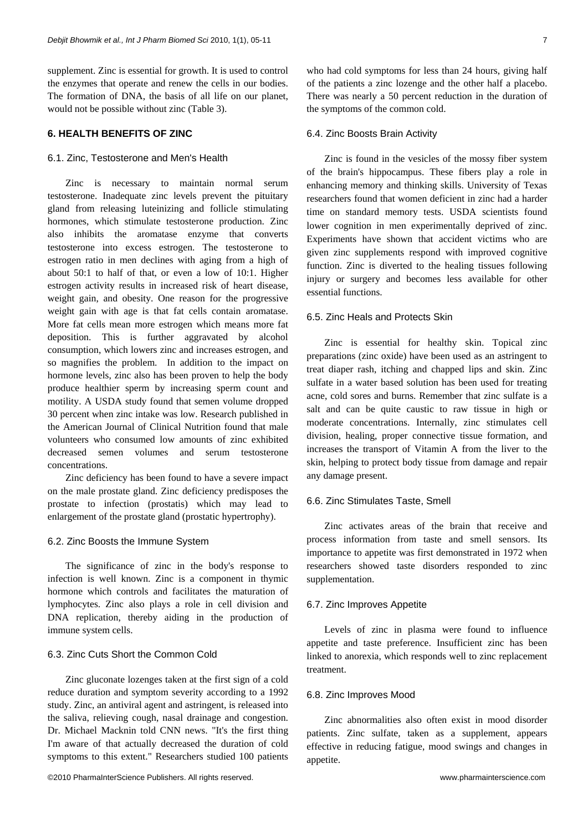supplement. Zinc is essential for growth. It is used to control the enzymes that operate and renew the cells in our bodies. The formation of DNA, the basis of all life on our planet, would not be possible without zinc (Table 3).

## **6. HEALTH BENEFITS OF ZINC**

### 6.1. Zinc, Testosterone and Men's Health

Zinc is necessary to maintain normal serum testosterone. Inadequate zinc levels prevent the pituitary gland from releasing luteinizing and follicle stimulating hormones, which stimulate testosterone production. Zinc also inhibits the aromatase enzyme that converts testosterone into excess estrogen. The testosterone to estrogen ratio in men declines with aging from a high of about 50:1 to half of that, or even a low of 10:1. Higher estrogen activity results in increased risk of heart disease, weight gain, and obesity. One reason for the progressive weight gain with age is that fat cells contain aromatase. More fat cells mean more estrogen which means more fat deposition. This is further aggravated by alcohol consumption, which lowers zinc and increases estrogen, and so magnifies the problem. In addition to the impact on hormone levels, zinc also has been proven to help the body produce healthier sperm by increasing sperm count and motility. A USDA study found that semen volume dropped 30 percent when zinc intake was low. Research published in the American Journal of Clinical Nutrition found that male volunteers who consumed low amounts of zinc exhibited decreased semen volumes and serum testosterone concentrations.

Zinc deficiency has been found to have a severe impact on the male prostate gland. Zinc deficiency predisposes the prostate to infection (prostatis) which may lead to enlargement of the prostate gland (prostatic hypertrophy).

#### 6.2. Zinc Boosts the Immune System

The significance of zinc in the body's response to infection is well known. Zinc is a component in thymic hormone which controls and facilitates the maturation of lymphocytes. Zinc also plays a role in cell division and DNA replication, thereby aiding in the production of immune system cells.

## 6.3. Zinc Cuts Short the Common Cold

Zinc gluconate lozenges taken at the first sign of a cold reduce duration and symptom severity according to a 1992 study. Zinc, an antiviral agent and astringent, is released into the saliva, relieving cough, nasal drainage and congestion. Dr. Michael Macknin told CNN news. "It's the first thing I'm aware of that actually decreased the duration of cold symptoms to this extent." Researchers studied 100 patients

©2010 PharmaInterScience Publishers. All rights reserved. www.pharmainterscience.com

who had cold symptoms for less than 24 hours, giving half of the patients a zinc lozenge and the other half a placebo. There was nearly a 50 percent reduction in the duration of the symptoms of the common cold.

#### 6.4. Zinc Boosts Brain Activity

Zinc is found in the vesicles of the mossy fiber system of the brain's hippocampus. These fibers play a role in enhancing memory and thinking skills. University of Texas researchers found that women deficient in zinc had a harder time on standard memory tests. USDA scientists found lower cognition in men experimentally deprived of zinc. Experiments have shown that accident victims who are given zinc supplements respond with improved cognitive function. Zinc is diverted to the healing tissues following injury or surgery and becomes less available for other essential functions.

#### 6.5. Zinc Heals and Protects Skin

Zinc is essential for healthy skin. Topical zinc preparations (zinc oxide) have been used as an astringent to treat diaper rash, itching and chapped lips and skin. Zinc sulfate in a water based solution has been used for treating acne, cold sores and burns. Remember that zinc sulfate is a salt and can be quite caustic to raw tissue in high or moderate concentrations. Internally, zinc stimulates cell division, healing, proper connective tissue formation, and increases the transport of Vitamin A from the liver to the skin, helping to protect body tissue from damage and repair any damage present.

## 6.6. Zinc Stimulates Taste, Smell

Zinc activates areas of the brain that receive and process information from taste and smell sensors. Its importance to appetite was first demonstrated in 1972 when researchers showed taste disorders responded to zinc supplementation.

#### 6.7. Zinc Improves Appetite

Levels of zinc in plasma were found to influence appetite and taste preference. Insufficient zinc has been linked to anorexia, which responds well to zinc replacement treatment.

#### 6.8. Zinc Improves Mood

Zinc abnormalities also often exist in mood disorder patients. Zinc sulfate, taken as a supplement, appears effective in reducing fatigue, mood swings and changes in appetite.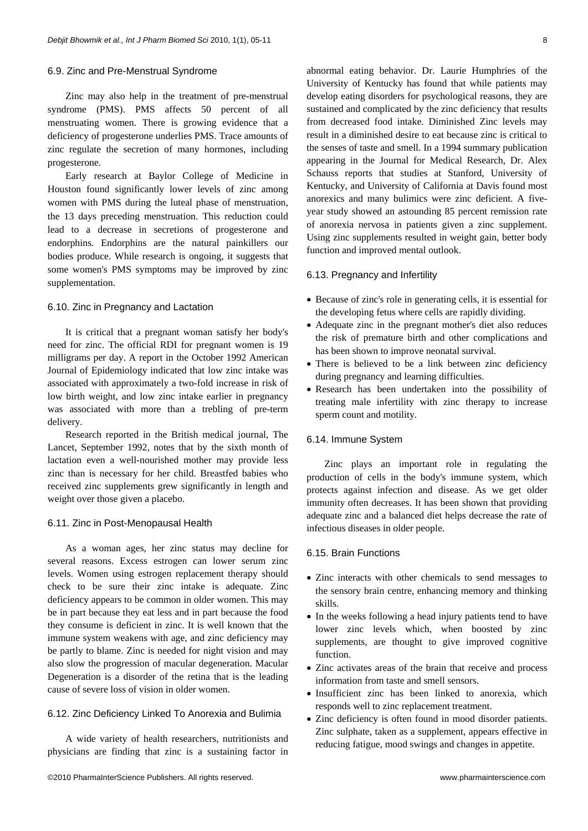#### 6.9. Zinc and Pre-Menstrual Syndrome

Zinc may also help in the treatment of pre-menstrual syndrome (PMS). PMS affects 50 percent of all menstruating women. There is growing evidence that a deficiency of progesterone underlies PMS. Trace amounts of zinc regulate the secretion of many hormones, including progesterone.

Early research at Baylor College of Medicine in Houston found significantly lower levels of zinc among women with PMS during the luteal phase of menstruation, the 13 days preceding menstruation. This reduction could lead to a decrease in secretions of progesterone and endorphins. Endorphins are the natural painkillers our bodies produce. While research is ongoing, it suggests that some women's PMS symptoms may be improved by zinc supplementation.

#### 6.10. Zinc in Pregnancy and Lactation

It is critical that a pregnant woman satisfy her body's need for zinc. The official RDI for pregnant women is 19 milligrams per day. A report in the October 1992 American Journal of Epidemiology indicated that low zinc intake was associated with approximately a two-fold increase in risk of low birth weight, and low zinc intake earlier in pregnancy was associated with more than a trebling of pre-term delivery.

Research reported in the British medical journal, The Lancet, September 1992, notes that by the sixth month of lactation even a well-nourished mother may provide less zinc than is necessary for her child. Breastfed babies who received zinc supplements grew significantly in length and weight over those given a placebo.

## 6.11. Zinc in Post-Menopausal Health

As a woman ages, her zinc status may decline for several reasons. Excess estrogen can lower serum zinc levels. Women using estrogen replacement therapy should check to be sure their zinc intake is adequate. Zinc deficiency appears to be common in older women. This may be in part because they eat less and in part because the food they consume is deficient in zinc. It is well known that the immune system weakens with age, and zinc deficiency may be partly to blame. Zinc is needed for night vision and may also slow the progression of macular degeneration. Macular Degeneration is a disorder of the retina that is the leading cause of severe loss of vision in older women.

#### 6.12. Zinc Deficiency Linked To Anorexia and Bulimia

A wide variety of health researchers, nutritionists and physicians are finding that zinc is a sustaining factor in abnormal eating behavior. Dr. Laurie Humphries of the University of Kentucky has found that while patients may develop eating disorders for psychological reasons, they are sustained and complicated by the zinc deficiency that results from decreased food intake. Diminished Zinc levels may result in a diminished desire to eat because zinc is critical to the senses of taste and smell. In a 1994 summary publication appearing in the Journal for Medical Research, Dr. Alex Schauss reports that studies at Stanford, University of Kentucky, and University of California at Davis found most anorexics and many bulimics were zinc deficient. A fiveyear study showed an astounding 85 percent remission rate of anorexia nervosa in patients given a zinc supplement. Using zinc supplements resulted in weight gain, better body function and improved mental outlook.

## 6.13. Pregnancy and Infertility

- Because of zinc's role in generating cells, it is essential for the developing fetus where cells are rapidly dividing.
- Adequate zinc in the pregnant mother's diet also reduces the risk of premature birth and other complications and has been shown to improve neonatal survival.
- There is believed to be a link between zinc deficiency during pregnancy and learning difficulties.
- Research has been undertaken into the possibility of treating male infertility with zinc therapy to increase sperm count and motility.

## 6.14. Immune System

Zinc plays an important role in regulating the production of cells in the body's immune system, which protects against infection and disease. As we get older immunity often decreases. It has been shown that providing adequate zinc and a balanced diet helps decrease the rate of infectious diseases in older people.

#### 6.15. Brain Functions

- Zinc interacts with other chemicals to send messages to the sensory brain centre, enhancing memory and thinking skills.
- In the weeks following a head injury patients tend to have lower zinc levels which, when boosted by zinc supplements, are thought to give improved cognitive function.
- Zinc activates areas of the brain that receive and process information from taste and smell sensors.
- Insufficient zinc has been linked to anorexia, which responds well to zinc replacement treatment.
- Zinc deficiency is often found in mood disorder patients. Zinc sulphate, taken as a supplement, appears effective in reducing fatigue, mood swings and changes in appetite.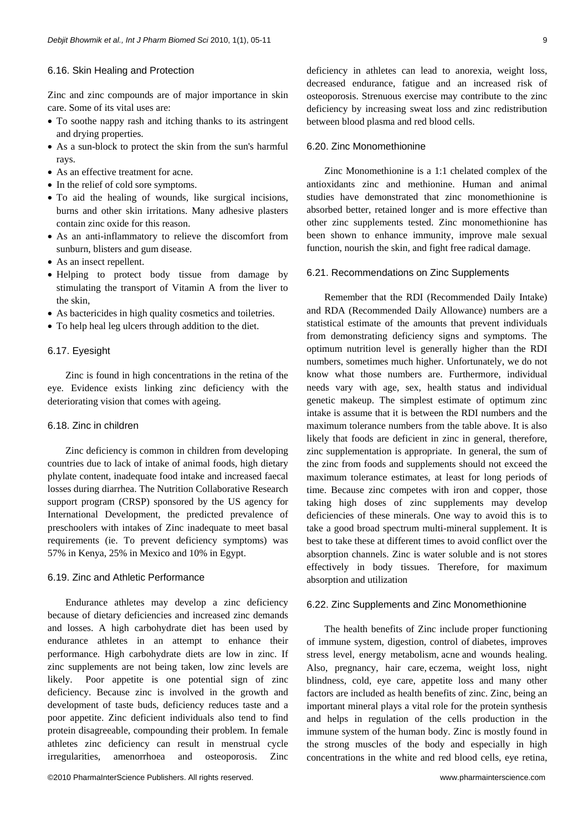#### 6.16. Skin Healing and Protection

Zinc and zinc compounds are of major importance in skin care. Some of its vital uses are:

- To soothe nappy rash and itching thanks to its astringent and drying properties.
- As a sun-block to protect the skin from the sun's harmful rays.
- As an effective treatment for acne.
- In the relief of cold sore symptoms.
- To aid the healing of wounds, like surgical incisions, burns and other skin irritations. Many adhesive plasters contain zinc oxide for this reason.
- As an anti-inflammatory to relieve the discomfort from sunburn, blisters and gum disease.
- As an insect repellent.
- Helping to protect body tissue from damage by stimulating the transport of Vitamin A from the liver to the skin,
- As bactericides in high quality cosmetics and toiletries.
- To help heal leg ulcers through addition to the diet.

#### 6.17. Eyesight

Zinc is found in high concentrations in the retina of the eye. Evidence exists linking zinc deficiency with the deteriorating vision that comes with ageing.

#### 6.18. Zinc in children

Zinc deficiency is common in children from developing countries due to lack of intake of animal foods, high dietary phylate content, inadequate food intake and increased faecal losses during diarrhea. The Nutrition Collaborative Research support program (CRSP) sponsored by the US agency for International Development, the predicted prevalence of preschoolers with intakes of Zinc inadequate to meet basal requirements (ie. To prevent deficiency symptoms) was 57% in Kenya, 25% in Mexico and 10% in Egypt.

## 6.19. Zinc and Athletic Performance

Endurance athletes may develop a zinc deficiency because of dietary deficiencies and increased zinc demands and losses. A high carbohydrate diet has been used by endurance athletes in an attempt to enhance their performance. High carbohydrate diets are low in zinc. If zinc supplements are not being taken, low zinc levels are likely. Poor appetite is one potential sign of zinc deficiency. Because zinc is involved in the growth and development of taste buds, deficiency reduces taste and a poor appetite. Zinc deficient individuals also tend to find protein disagreeable, compounding their problem. In female athletes zinc deficiency can result in menstrual cycle irregularities, amenorrhoea and osteoporosis. Zinc

©2010 PharmaInterScience Publishers. All rights reserved. www.pharmainterscience.com

deficiency in athletes can lead to anorexia, weight loss, decreased endurance, fatigue and an increased risk of osteoporosis. Strenuous exercise may contribute to the zinc deficiency by increasing sweat loss and zinc redistribution between blood plasma and red blood cells.

#### 6.20. Zinc Monomethionine

Zinc Monomethionine is a 1:1 chelated complex of the antioxidants zinc and methionine. Human and animal studies have demonstrated that zinc monomethionine is absorbed better, retained longer and is more effective than other zinc supplements tested. Zinc monomethionine has been shown to enhance immunity, improve male sexual function, nourish the skin, and fight free radical damage.

#### 6.21. Recommendations on Zinc Supplements

Remember that the RDI (Recommended Daily Intake) and RDA (Recommended Daily Allowance) numbers are a statistical estimate of the amounts that prevent individuals from demonstrating deficiency signs and symptoms. The optimum nutrition level is generally higher than the RDI numbers, sometimes much higher. Unfortunately, we do not know what those numbers are. Furthermore, individual needs vary with age, sex, health status and individual genetic makeup. The simplest estimate of optimum zinc intake is assume that it is between the RDI numbers and the maximum tolerance numbers from the table above. It is also likely that foods are deficient in zinc in general, therefore, zinc supplementation is appropriate. In general, the sum of the zinc from foods and supplements should not exceed the maximum tolerance estimates, at least for long periods of time. Because zinc competes with iron and copper, those taking high doses of zinc supplements may develop deficiencies of these minerals. One way to avoid this is to take a good broad spectrum multi-mineral supplement. It is best to take these at different times to avoid conflict over the absorption channels. Zinc is water soluble and is not stores effectively in body tissues. Therefore, for maximum absorption and utilization

#### 6.22. Zinc Supplements and Zinc Monomethionine

The health benefits of Zinc include proper functioning of immune system, digestion, control of diabetes, improves stress level, energy metabolism, acne and wounds healing. Also, pregnancy, hair care, eczema, weight loss, night blindness, cold, eye care, appetite loss and many other factors are included as health benefits of zinc. Zinc, being an important mineral plays a vital role for the protein synthesis and helps in regulation of the cells production in the immune system of the human body. Zinc is mostly found in the strong muscles of the body and especially in high concentrations in the white and red blood cells, eye retina,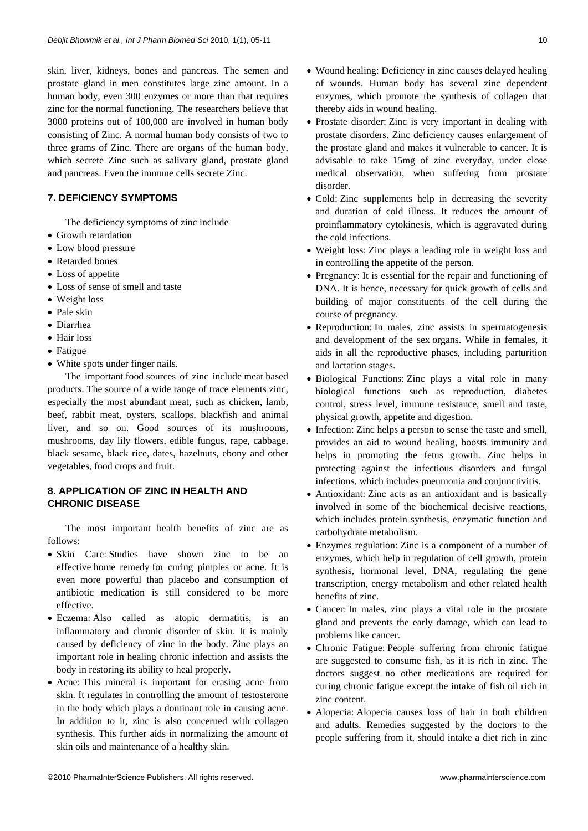skin, liver, kidneys, bones and pancreas. The semen and prostate gland in men constitutes large zinc amount. In a human body, even 300 enzymes or more than that requires zinc for the normal functioning. The researchers believe that 3000 proteins out of 100,000 are involved in human body consisting of Zinc. A normal human body consists of two to three grams of Zinc. There are organs of the human body, which secrete Zinc such as salivary gland, prostate gland and pancreas. Even the immune cells secrete Zinc.

## **7. DEFICIENCY SYMPTOMS**

The deficiency symptoms of zinc include

- Growth retardation
- Low blood pressure
- Retarded bones
- Loss of appetite
- Loss of sense of smell and taste
- Weight loss
- Pale skin
- Diarrhea
- Hair loss
- Fatigue
- White spots under finger nails.

The important food sources of zinc include meat based products. The source of a wide range of trace elements zinc, especially the most abundant meat, such as chicken, lamb, beef, rabbit meat, oysters, scallops, blackfish and animal liver, and so on. Good sources of its mushrooms, mushrooms, day lily flowers, edible fungus, rape, cabbage, black sesame, black rice, dates, hazelnuts, ebony and other vegetables, food crops and fruit.

## **8. APPLICATION OF ZINC IN HEALTH AND CHRONIC DISEASE**

The most important health benefits of zinc are as follows:

- Skin Care: Studies have shown zinc to be an effective home remedy for curing pimples or acne. It is even more powerful than placebo and consumption of antibiotic medication is still considered to be more effective.
- Eczema: Also called as atopic dermatitis, is an inflammatory and chronic disorder of skin. It is mainly caused by deficiency of zinc in the body. Zinc plays an important role in healing chronic infection and assists the body in restoring its ability to heal properly.
- Acne: This mineral is important for erasing acne from skin. It regulates in controlling the amount of testosterone in the body which plays a dominant role in causing acne. In addition to it, zinc is also concerned with collagen synthesis. This further aids in normalizing the amount of skin oils and maintenance of a healthy skin.
- Wound healing: Deficiency in zinc causes delayed healing of wounds. Human body has several zinc dependent enzymes, which promote the synthesis of collagen that thereby aids in wound healing.
- Prostate disorder: Zinc is very important in dealing with prostate disorders. Zinc deficiency causes enlargement of the prostate gland and makes it vulnerable to cancer. It is advisable to take 15mg of zinc everyday, under close medical observation, when suffering from prostate disorder.
- Cold: Zinc supplements help in decreasing the severity and duration of cold illness. It reduces the amount of proinflammatory cytokinesis, which is aggravated during the cold infections.
- Weight loss: Zinc plays a leading role in weight loss and in controlling the appetite of the person.
- Pregnancy: It is essential for the repair and functioning of DNA. It is hence, necessary for quick growth of cells and building of major constituents of the cell during the course of pregnancy.
- Reproduction: In males, zinc assists in spermatogenesis and development of the sex organs. While in females, it aids in all the reproductive phases, including parturition and lactation stages.
- Biological Functions: Zinc plays a vital role in many biological functions such as reproduction, diabetes control, stress level, immune resistance, smell and taste, physical growth, appetite and digestion.
- Infection: Zinc helps a person to sense the taste and smell, provides an aid to wound healing, boosts immunity and helps in promoting the fetus growth. Zinc helps in protecting against the infectious disorders and fungal infections, which includes pneumonia and conjunctivitis.
- Antioxidant: Zinc acts as an antioxidant and is basically involved in some of the biochemical decisive reactions, which includes protein synthesis, enzymatic function and carbohydrate metabolism.
- Enzymes regulation: Zinc is a component of a number of enzymes, which help in regulation of cell growth, protein synthesis, hormonal level, DNA, regulating the gene transcription, energy metabolism and other related health benefits of zinc.
- Cancer: In males, zinc plays a vital role in the prostate gland and prevents the early damage, which can lead to problems like cancer.
- Chronic Fatigue: People suffering from chronic fatigue are suggested to consume fish, as it is rich in zinc. The doctors suggest no other medications are required for curing chronic fatigue except the intake of fish oil rich in zinc content.
- Alopecia: Alopecia causes loss of hair in both children and adults. Remedies suggested by the doctors to the people suffering from it, should intake a diet rich in zinc